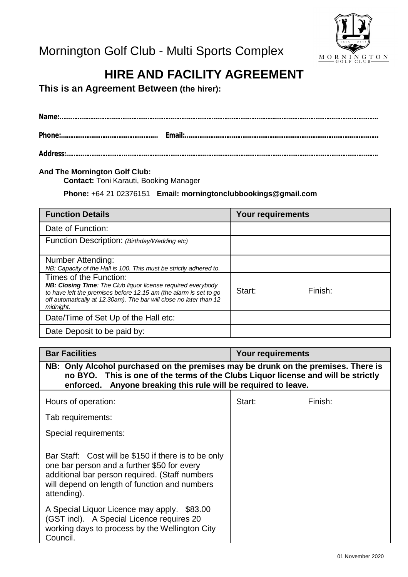

# **HIRE AND FACILITY AGREEMENT**

**This is an Agreement Between (the hirer):**

**Address:……………………………..………………………………………………………………………………………………………………………….**

#### **And The Mornington Golf Club:**

**Contact:** Toni Karauti, Booking Manager

**Phone:** +64 21 02376151 **Email: [morningtonclubbookings@gmail.com](mailto:morningtonclubbookings@gmail.com)**

| <b>Function Details</b>                                                                                                                                                                                              | <b>Your requirements</b> |         |
|----------------------------------------------------------------------------------------------------------------------------------------------------------------------------------------------------------------------|--------------------------|---------|
| Date of Function:                                                                                                                                                                                                    |                          |         |
| Function Description: (Birthday/Wedding etc)                                                                                                                                                                         |                          |         |
| Number Attending:                                                                                                                                                                                                    |                          |         |
| NB: Capacity of the Hall is 100. This must be strictly adhered to.                                                                                                                                                   |                          |         |
| Times of the Function:                                                                                                                                                                                               |                          |         |
| NB: Closing Time: The Club liquor license required everybody<br>to have left the premises before 12.15 am (the alarm is set to go<br>off automatically at 12.30am). The bar will close no later than 12<br>midnight. | Start:                   | Finish: |
| Date/Time of Set Up of the Hall etc:                                                                                                                                                                                 |                          |         |
| Date Deposit to be paid by:                                                                                                                                                                                          |                          |         |

| <b>Bar Facilities</b>                                                                                                                                                                                                                    | <b>Your requirements</b> |         |  |  |
|------------------------------------------------------------------------------------------------------------------------------------------------------------------------------------------------------------------------------------------|--------------------------|---------|--|--|
| NB: Only Alcohol purchased on the premises may be drunk on the premises. There is<br>no BYO. This is one of the terms of the Clubs Liquor license and will be strictly<br>enforced. Anyone breaking this rule will be required to leave. |                          |         |  |  |
| Hours of operation:                                                                                                                                                                                                                      | Start:                   | Finish: |  |  |
| Tab requirements:                                                                                                                                                                                                                        |                          |         |  |  |
| Special requirements:                                                                                                                                                                                                                    |                          |         |  |  |
| Bar Staff: Cost will be \$150 if there is to be only<br>one bar person and a further \$50 for every<br>additional bar person required. (Staff numbers<br>will depend on length of function and numbers<br>attending).                    |                          |         |  |  |
| A Special Liquor Licence may apply. \$83.00<br>(GST incl). A Special Licence requires 20<br>working days to process by the Wellington City<br>Council.                                                                                   |                          |         |  |  |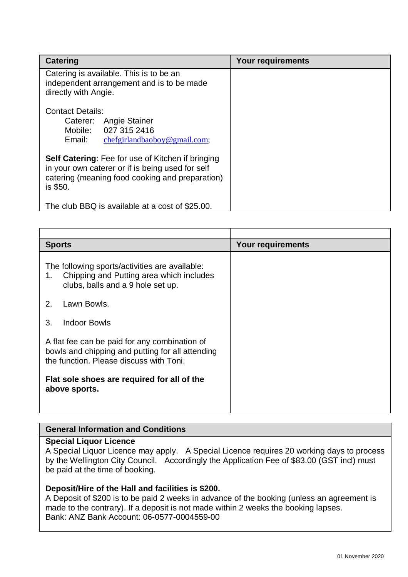| Catering                                                                                                                                                                    | <b>Your requirements</b> |
|-----------------------------------------------------------------------------------------------------------------------------------------------------------------------------|--------------------------|
| Catering is available. This is to be an<br>independent arrangement and is to be made<br>directly with Angie.                                                                |                          |
| <b>Contact Details:</b><br>Caterer: Angie Stainer<br>027 315 2416<br>Mobile:<br>Email:<br>chefgirlandbaoboy@gmail.com;                                                      |                          |
| <b>Self Catering:</b> Fee for use of Kitchen if bringing<br>in your own caterer or if is being used for self<br>catering (meaning food cooking and preparation)<br>is \$50. |                          |
| The club BBQ is available at a cost of \$25.00.                                                                                                                             |                          |

| <b>Sports</b>                                                                                                                                | Your requirements |
|----------------------------------------------------------------------------------------------------------------------------------------------|-------------------|
| The following sports/activities are available:<br>Chipping and Putting area which includes<br>1.<br>clubs, balls and a 9 hole set up.        |                   |
| Lawn Bowls.<br>2.                                                                                                                            |                   |
| <b>Indoor Bowls</b><br>3.                                                                                                                    |                   |
| A flat fee can be paid for any combination of<br>bowls and chipping and putting for all attending<br>the function. Please discuss with Toni. |                   |
| Flat sole shoes are required for all of the<br>above sports.                                                                                 |                   |

## **General Information and Conditions**

## **Special Liquor Licence**

A Special Liquor Licence may apply. A Special Licence requires 20 working days to process by the Wellington City Council. Accordingly the Application Fee of \$83.00 (GST incl) must be paid at the time of booking.

#### **Deposit/Hire of the Hall and facilities is \$200.**

A Deposit of \$200 is to be paid 2 weeks in advance of the booking (unless an agreement is made to the contrary). If a deposit is not made within 2 weeks the booking lapses. Bank: ANZ Bank Account: 06-0577-0004559-00